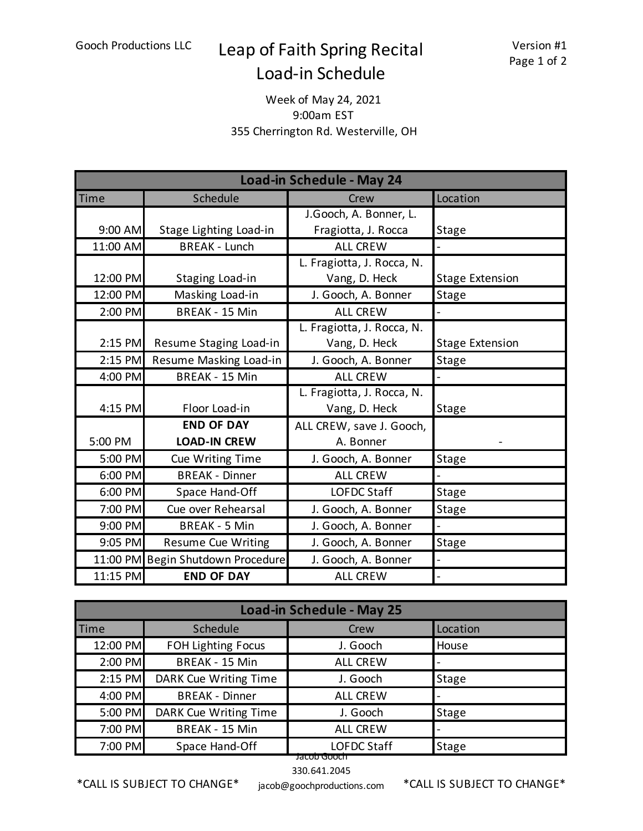## Gooch Productions LLC Leap of Faith Spring Recital Load-in Schedule

## Week of May 24, 2021 9:00am EST 355 Cherrington Rd. Westerville, OH

| Load-in Schedule - May 24 |                                   |                            |                        |  |  |
|---------------------------|-----------------------------------|----------------------------|------------------------|--|--|
| <b>Time</b>               | Schedule                          | Crew                       | Location               |  |  |
|                           |                                   | J.Gooch, A. Bonner, L.     |                        |  |  |
| 9:00 AM                   | Stage Lighting Load-in            | Fragiotta, J. Rocca        | Stage                  |  |  |
| 11:00 AM                  | <b>BREAK - Lunch</b>              | <b>ALL CREW</b>            |                        |  |  |
|                           |                                   | L. Fragiotta, J. Rocca, N. |                        |  |  |
| 12:00 PM                  | Staging Load-in                   | Vang, D. Heck              | <b>Stage Extension</b> |  |  |
| 12:00 PM                  | Masking Load-in                   | J. Gooch, A. Bonner        | <b>Stage</b>           |  |  |
| 2:00 PM                   | <b>BREAK - 15 Min</b>             | <b>ALL CREW</b>            |                        |  |  |
|                           |                                   | L. Fragiotta, J. Rocca, N. |                        |  |  |
| $2:15$ PM                 | Resume Staging Load-in            | Vang, D. Heck              | <b>Stage Extension</b> |  |  |
| 2:15 PM                   | Resume Masking Load-in            | J. Gooch, A. Bonner        | <b>Stage</b>           |  |  |
| 4:00 PM                   | <b>BREAK - 15 Min</b>             | <b>ALL CREW</b>            |                        |  |  |
|                           |                                   | L. Fragiotta, J. Rocca, N. |                        |  |  |
| 4:15 PM                   | Floor Load-in                     | Vang, D. Heck              | <b>Stage</b>           |  |  |
|                           | <b>END OF DAY</b>                 | ALL CREW, save J. Gooch,   |                        |  |  |
| 5:00 PM                   | <b>LOAD-IN CREW</b>               | A. Bonner                  |                        |  |  |
| 5:00 PM                   | Cue Writing Time                  | J. Gooch, A. Bonner        | <b>Stage</b>           |  |  |
| 6:00 PM                   | <b>BREAK - Dinner</b>             | <b>ALL CREW</b>            |                        |  |  |
| 6:00 PM                   | Space Hand-Off                    | <b>LOFDC Staff</b>         | <b>Stage</b>           |  |  |
| 7:00 PM                   | Cue over Rehearsal                | J. Gooch, A. Bonner        | <b>Stage</b>           |  |  |
| 9:00 PM                   | <b>BREAK - 5 Min</b>              | J. Gooch, A. Bonner        |                        |  |  |
| 9:05 PM                   | <b>Resume Cue Writing</b>         | J. Gooch, A. Bonner        | Stage                  |  |  |
|                           | 11:00 PM Begin Shutdown Procedure | J. Gooch, A. Bonner        |                        |  |  |
| 11:15 PM                  | <b>END OF DAY</b>                 | <b>ALL CREW</b>            |                        |  |  |

| <b>Load-in Schedule - May 25</b> |                       |                    |              |  |  |
|----------------------------------|-----------------------|--------------------|--------------|--|--|
| <b>Time</b>                      | Schedule              | <b>Crew</b>        | Location     |  |  |
| 12:00 PM                         | FOH Lighting Focus    | J. Gooch           | House        |  |  |
| 2:00 PM                          | BREAK - 15 Min        | <b>ALL CREW</b>    |              |  |  |
| 2:15 PM                          | DARK Cue Writing Time | J. Gooch           | <b>Stage</b> |  |  |
| 4:00 PM                          | <b>BREAK - Dinner</b> | <b>ALL CREW</b>    |              |  |  |
| 5:00 PM                          | DARK Cue Writing Time | J. Gooch           | <b>Stage</b> |  |  |
| 7:00 PM                          | BREAK - 15 Min        | <b>ALL CREW</b>    |              |  |  |
| 7:00 PM                          | Space Hand-Off        | <b>LOFDC Staff</b> | <b>Stage</b> |  |  |
| Jacob Gooch                      |                       |                    |              |  |  |

330.641.2045

\*CALL IS SUBJECT TO CHANGE\*

jacob@goochproductions.com \*CALL IS SUBJECT TO CHANGE\*